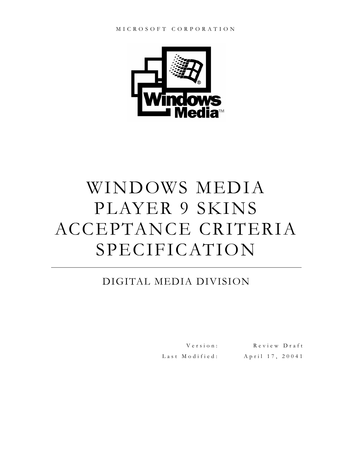

# WINDOWS MEDIA PLAYER 9 SKINS ACCEPTANCE CRITERIA SPECIFICATION

# DIGITAL MEDIA DIVISION

Last Modified: April 17, 20041

Version: Review Draft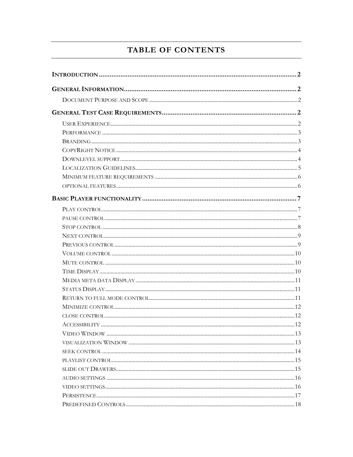# TABLE OF CONTENTS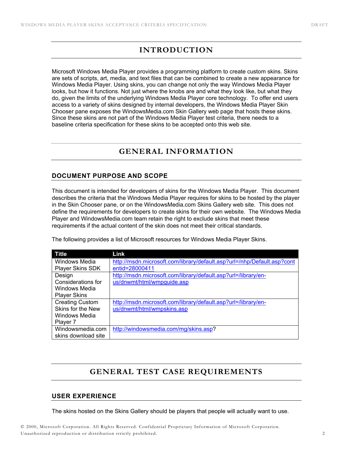# **INTRODUCTION**

Microsoft Windows Media Player provides a programming platform to create custom skins. Skins are sets of scripts, art, media, and text files that can be combined to create a new appearance for Windows Media Player. Using skins, you can change not only the way Windows Media Player looks, but how it functions. Not just where the knobs are and what they look like, but what they do, given the limits of the underlying Windows Media Player core technology. To offer end users access to a variety of skins designed by internal developers, the Windows Media Player Skin Chooser pane exposes the WindowsMedia.com Skin Gallery web page that hosts these skins. Since these skins are not part of the Windows Media Player test criteria, there needs to a baseline criteria specification for these skins to be accepted onto this web site.

# **GENERAL INFORMATION**

## **DOCUMENT PURPOSE AND SCOPE**

This document is intended for developers of skins for the Windows Media Player. This document describes the criteria that the Windows Media Player requires for skins to be hosted by the player in the Skin Chooser pane, or on the WindowsMedia.com Skins Gallery web site. This does not define the requirements for developers to create skins for their own website. The Windows Media Player and WindowsMedia.com team retain the right to exclude skins that meet these requirements if the actual content of the skin does not meet their critical standards.

The following provides a list of Microsoft resources for Windows Media Player Skins.

| Title                   | Link                                                                    |
|-------------------------|-------------------------------------------------------------------------|
| Windows Media           | http://msdn.microsoft.com/library/default.asp?url=/nhp/Default.asp?cont |
| <b>Player Skins SDK</b> | entid=28000411                                                          |
| Design                  | http://msdn.microsoft.com/library/default.asp?url=/library/en-          |
| Considerations for      | us/dnwmt/html/wmpguide.asp                                              |
| Windows Media           |                                                                         |
| <b>Player Skins</b>     |                                                                         |
| <b>Creating Custom</b>  | http://msdn.microsoft.com/library/default.asp?url=/library/en-          |
| Skins for the New       | us/dnwmt/html/wmpskins.asp                                              |
| Windows Media           |                                                                         |
| Player 7                |                                                                         |
| Windowsmedia.com        | http://windowsmedia.com/mg/skins.asp?                                   |
| skins download site     |                                                                         |

# **GENERAL TEST CASE REQUIREMENTS**

## **USER EXPERIENCE**

The skins hosted on the Skins Gallery should be players that people will actually want to use.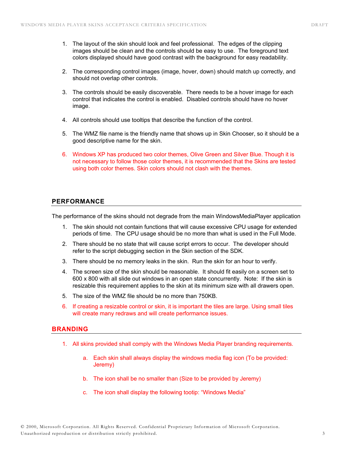- 1. The layout of the skin should look and feel professional. The edges of the clipping images should be clean and the controls should be easy to use. The foreground text colors displayed should have good contrast with the background for easy readability.
- 2. The corresponding control images (image, hover, down) should match up correctly, and should not overlap other controls.
- 3. The controls should be easily discoverable. There needs to be a hover image for each control that indicates the control is enabled. Disabled controls should have no hover image.
- 4. All controls should use tooltips that describe the function of the control.
- 5. The WMZ file name is the friendly name that shows up in Skin Chooser, so it should be a good descriptive name for the skin.
- 6. Windows XP has produced two color themes, Olive Green and Silver Blue. Though it is not necessary to follow those color themes, it is recommended that the Skins are tested using both color themes. Skin colors should not clash with the themes.

## **PERFORMANCE**

The performance of the skins should not degrade from the main WindowsMediaPlayer application

- 1. The skin should not contain functions that will cause excessive CPU usage for extended periods of time. The CPU usage should be no more than what is used in the Full Mode.
- 2. There should be no state that will cause script errors to occur. The developer should refer to the script debugging section in the Skin section of the SDK.
- 3. There should be no memory leaks in the skin. Run the skin for an hour to verify.
- 4. The screen size of the skin should be reasonable. It should fit easily on a screen set to 600 x 800 with all slide out windows in an open state concurrently. Note: If the skin is resizable this requirement applies to the skin at its minimum size with all drawers open.
- 5. The size of the WMZ file should be no more than 750KB.
- 6. If creating a resizable control or skin, it is important the tiles are large. Using small tiles will create many redraws and will create performance issues.

## **BRANDING**

- 1. All skins provided shall comply with the Windows Media Player branding requirements.
	- a. Each skin shall always display the windows media flag icon (To be provided: Jeremy)
	- b. The icon shall be no smaller than (Size to be provided by Jeremy)
	- c. The icon shall display the following tootip: "Windows Media"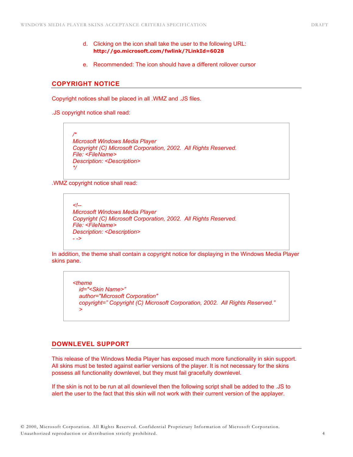- d. Clicking on the icon shall take the user to the following URL: **http://go.microsoft.com/fwlink/?LinkId=6028**
- e. Recommended: The icon should have a different rollover cursor

## **COPYRIGHT NOTICE**

Copyright notices shall be placed in all .WMZ and .JS files.

.JS copyright notice shall read:



.WMZ copyright notice shall read:

*<!-- Microsoft Windows Media Player Copyright (C) Microsoft Corporation, 2002. All Rights Reserved. File: <FileName> Description: <Description> - ->* 

In addition, the theme shall contain a copyright notice for displaying in the Windows Media Player skins pane.

```
<theme 
id="<Skin Name>" 
author="Microsoft Corporation" 
copyright=" Copyright (C) Microsoft Corporation, 2002. All Rights Reserved." 
>
```
## **DOWNLEVEL SUPPORT**

This release of the Windows Media Player has exposed much more functionality in skin support. All skins must be tested against earlier versions of the player. It is not necessary for the skins possess all functionality downlevel, but they must fail gracefully downlevel.

If the skin is not to be run at all downlevel then the following script shall be added to the .JS to alert the user to the fact that this skin will not work with their current version of the applayer.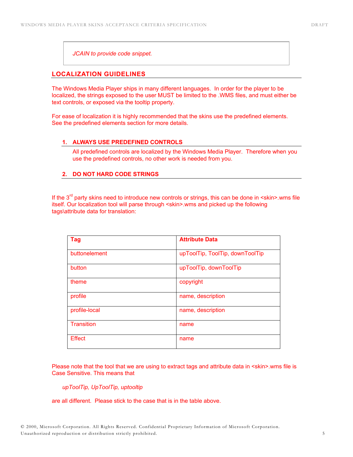*JCAIN to provide code snippet.* 

## **LOCALIZATION GUIDELINES**

The Windows Media Player ships in many different languages. In order for the player to be localized, the strings exposed to the user MUST be limited to the .WMS files, and must either be text controls, or exposed via the tooltip property.

For ease of localization it is highly recommended that the skins use the predefined elements. See the predefined elements section for more details.

#### **1. ALWAYS USE PREDEFINED CONTROLS**

All predefined controls are localized by the Windows Media Player. Therefore when you use the predefined controls, no other work is needed from you.

## **2. DO NOT HARD CODE STRINGS**

If the  $3<sup>rd</sup>$  party skins need to introduce new controls or strings, this can be done in  $\leq$ skin>.wms file itself. Our localization tool will parse through <skin>.wms and picked up the following tags\attribute data for translation:

| Tag               | <b>Attribute Data</b>           |
|-------------------|---------------------------------|
| buttonelement     | upToolTip, ToolTip, downToolTip |
| button            | upToolTip, downToolTip          |
| theme             | copyright                       |
| profile           | name, description               |
| profile-local     | name, description               |
| <b>Transition</b> | name                            |
| <b>Effect</b>     | name                            |

Please note that the tool that we are using to extract tags and attribute data in <skin>.wms file is Case Sensitive. This means that

*upToolTip, UpToolTip, uptooltip* 

are all different. Please stick to the case that is in the table above.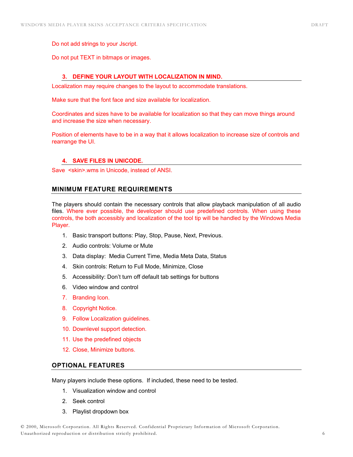Do not add strings to your Jscript.

Do not put TEXT in bitmaps or images.

## **3. DEFINE YOUR LAYOUT WITH LOCALIZATION IN MIND.**

Localization may require changes to the layout to accommodate translations.

Make sure that the font face and size available for localization.

Coordinates and sizes have to be available for localization so that they can move things around and increase the size when necessary.

Position of elements have to be in a way that it allows localization to increase size of controls and rearrange the UI.

#### **4. SAVE FILES IN UNICODE.**

Save <skin>.wms in Unicode, instead of ANSI.

#### **MINIMUM FEATURE REQUIREMENTS**

The players should contain the necessary controls that allow playback manipulation of all audio files. Where ever possible, the developer should use predefined controls. When using these controls, the both accessibly and localization of the tool tip will be handled by the Windows Media Player.

- 1. Basic transport buttons: Play, Stop, Pause, Next, Previous.
- 2. Audio controls: Volume or Mute
- 3. Data display: Media Current Time, Media Meta Data, Status
- 4. Skin controls: Return to Full Mode, Minimize, Close
- 5. Accessibility: Don't turn off default tab settings for buttons
- 6. Video window and control
- 7. Branding Icon.
- 8. Copyright Notice.
- 9. Follow Localization guidelines.
- 10. Downlevel support detection.
- 11. Use the predefined objects
- 12. Close, Minimize buttons.

## **OPTIONAL FEATURES**

Many players include these options. If included, these need to be tested.

- 1. Visualization window and control
- 2. Seek control
- 3. Playlist dropdown box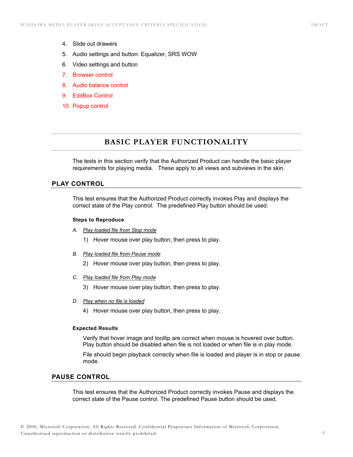- 4. Slide out drawers
- 5. Audio settings and button: Equalizer, SRS WOW
- 6. Video settings and button
- 7. Browser control
- 8. Audio balance control
- 9. EditBox Control
- 10. Popup control

# **BASIC PLAYER FUNCTIONALITY**

The tests in this section verify that the Authorized Product can handle the basic player requirements for playing media. These apply to all views and subviews in the skin.

## **PLAY CONTROL**

This test ensures that the Authorized Product correctly invokes Play and displays the correct state of the Play control. The predefined Play button should be used.

#### **Steps to Reproduce**

- *A. Play loaded file from Stop mode*
	- 1) Hover mouse over play button, then press to play.
- *B. Play loaded file from Pause mode*
	- 2) Hover mouse over play button, then press to play.
- *C. Play loaded file from Play mode*
	- 3) Hover mouse over play button, then press to play.
- *D. Play when no file is loaded* 
	- 4) Hover mouse over play button, then press to play.

#### **Expected Results**

Verify that hover image and tooltip are correct when mouse is hovered over button. Play button should be disabled when file is not loaded or when file is in play mode.

File should begin playback correctly when file is loaded and player is in stop or pause mode.

## **PAUSE CONTROL**

This test ensures that the Authorized Product correctly invokes Pause and displays the correct state of the Pause control. The predefined Pause button should be used.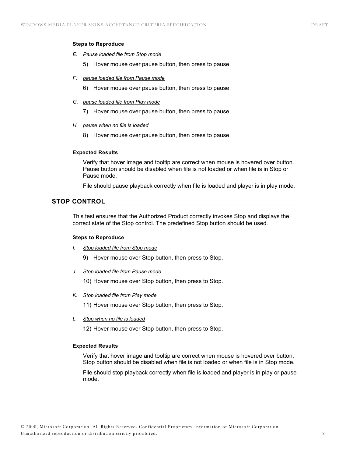#### **Steps to Reproduce**

- *E. Pause loaded file from Stop mode*
	- 5) Hover mouse over pause button, then press to pause.
- *F. pause loaded file from Pause mode*
	- 6) Hover mouse over pause button, then press to pause.
- *G. pause loaded file from Play mode*
	- 7) Hover mouse over pause button, then press to pause.
- *H. pause when no file is loaded* 
	- 8) Hover mouse over pause button, then press to pause.

#### **Expected Results**

Verify that hover image and tooltip are correct when mouse is hovered over button. Pause button should be disabled when file is not loaded or when file is in Stop or Pause mode.

File should pause playback correctly when file is loaded and player is in play mode.

## **STOP CONTROL**

This test ensures that the Authorized Product correctly invokes Stop and displays the correct state of the Stop control. The predefined Stop button should be used.

#### **Steps to Reproduce**

*I. Stop loaded file from Stop mode*

9) Hover mouse over Stop button, then press to Stop.

*J. Stop loaded file from Pause mode*

10) Hover mouse over Stop button, then press to Stop.

*K. Stop loaded file from Play mode*

11) Hover mouse over Stop button, then press to Stop.

*L. Stop when no file is loaded* 

12) Hover mouse over Stop button, then press to Stop.

## **Expected Results**

Verify that hover image and tooltip are correct when mouse is hovered over button. Stop button should be disabled when file is not loaded or when file is in Stop mode.

File should stop playback correctly when file is loaded and player is in play or pause mode.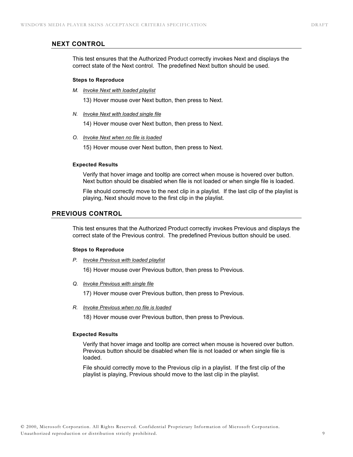## **NEXT CONTROL**

This test ensures that the Authorized Product correctly invokes Next and displays the correct state of the Next control. The predefined Next button should be used.

#### **Steps to Reproduce**

*M. Invoke Next with loaded playlist*

13) Hover mouse over Next button, then press to Next.

*N. Invoke Next with loaded single file*

14) Hover mouse over Next button, then press to Next.

*O. Invoke Next when no file is loaded* 

15) Hover mouse over Next button, then press to Next.

#### **Expected Results**

Verify that hover image and tooltip are correct when mouse is hovered over button. Next button should be disabled when file is not loaded or when single file is loaded.

File should correctly move to the next clip in a playlist. If the last clip of the playlist is playing, Next should move to the first clip in the playlist.

## **PREVIOUS CONTROL**

This test ensures that the Authorized Product correctly invokes Previous and displays the correct state of the Previous control. The predefined Previous button should be used.

#### **Steps to Reproduce**

*P. Invoke Previous with loaded playlist*

16) Hover mouse over Previous button, then press to Previous.

*Q. Invoke Previous with single file*

17) Hover mouse over Previous button, then press to Previous.

*R. Invoke Previous when no file is loaded* 

18) Hover mouse over Previous button, then press to Previous.

#### **Expected Results**

Verify that hover image and tooltip are correct when mouse is hovered over button. Previous button should be disabled when file is not loaded or when single file is loaded.

File should correctly move to the Previous clip in a playlist. If the first clip of the playlist is playing, Previous should move to the last clip in the playlist.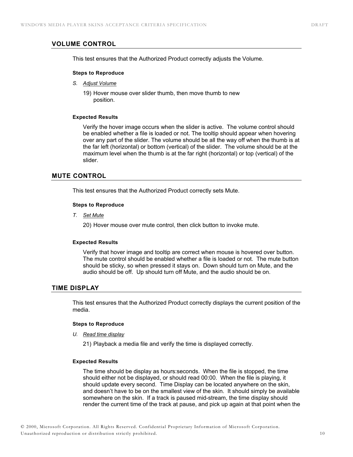## **VOLUME CONTROL**

This test ensures that the Authorized Product correctly adjusts the Volume.

#### **Steps to Reproduce**

- *S. Adjust Volume*
	- 19) Hover mouse over slider thumb, then move thumb to new position.

#### **Expected Results**

Verify the hover image occurs when the slider is active. The volume control should be enabled whether a file is loaded or not. The tooltip should appear when hovering over any part of the slider. The volume should be all the way off when the thumb is at the far left (horizontal) or bottom (vertical) of the slider. The volume should be at the maximum level when the thumb is at the far right (horizontal) or top (vertical) of the slider.

## **MUTE CONTROL**

This test ensures that the Authorized Product correctly sets Mute.

#### **Steps to Reproduce**

*T. Set Mute*

20) Hover mouse over mute control, then click button to invoke mute.

## **Expected Results**

Verify that hover image and tooltip are correct when mouse is hovered over button. The mute control should be enabled whether a file is loaded or not. The mute button should be sticky, so when pressed it stays on. Down should turn on Mute, and the audio should be off. Up should turn off Mute, and the audio should be on.

## **TIME DISPLAY**

This test ensures that the Authorized Product correctly displays the current position of the media.

#### **Steps to Reproduce**

*U. Read time display*

21) Playback a media file and verify the time is displayed correctly.

## **Expected Results**

The time should be display as hours:seconds. When the file is stopped, the time should either not be displayed, or should read 00:00. When the file is playing, it should update every second. Time Display can be located anywhere on the skin, and doesn't have to be on the smallest view of the skin. It should simply be available somewhere on the skin. If a track is paused mid-stream, the time display should render the current time of the track at pause, and pick up again at that point when the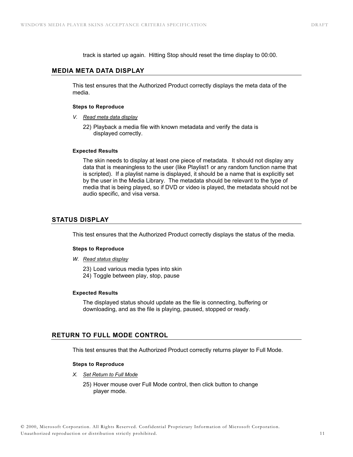track is started up again. Hitting Stop should reset the time display to 00:00.

#### **MEDIA META DATA DISPLAY**

This test ensures that the Authorized Product correctly displays the meta data of the media.

#### **Steps to Reproduce**

- *V. Read meta data display*
	- 22) Playback a media file with known metadata and verify the data is displayed correctly.

#### **Expected Results**

The skin needs to display at least one piece of metadata. It should not display any data that is meaningless to the user (like Playlist1 or any random function name that is scripted). If a playlist name is displayed, it should be a name that is explicitly set by the user in the Media Library. The metadata should be relevant to the type of media that is being played, so if DVD or video is played, the metadata should not be audio specific, and visa versa.

## **STATUS DISPLAY**

This test ensures that the Authorized Product correctly displays the status of the media.

#### **Steps to Reproduce**

- *W. Read status display*
	- 23) Load various media types into skin
	- 24) Toggle between play, stop, pause

#### **Expected Results**

The displayed status should update as the file is connecting, buffering or downloading, and as the file is playing, paused, stopped or ready.

## **RETURN TO FULL MODE CONTROL**

This test ensures that the Authorized Product correctly returns player to Full Mode.

#### **Steps to Reproduce**

- *X. Set Return to Full Mode*
	- 25) Hover mouse over Full Mode control, then click button to change player mode.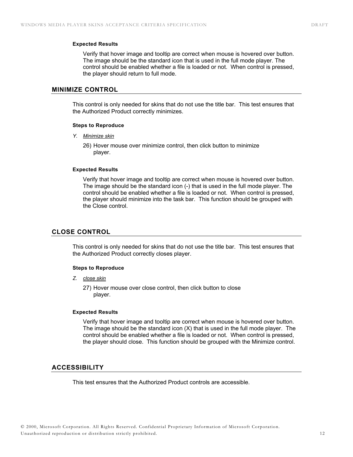#### **Expected Results**

Verify that hover image and tooltip are correct when mouse is hovered over button. The image should be the standard icon that is used in the full mode player. The control should be enabled whether a file is loaded or not. When control is pressed, the player should return to full mode.

## **MINIMIZE CONTROL**

This control is only needed for skins that do not use the title bar. This test ensures that the Authorized Product correctly minimizes.

#### **Steps to Reproduce**

*Y. Minimize skin*

26) Hover mouse over minimize control, then click button to minimize player.

#### **Expected Results**

Verify that hover image and tooltip are correct when mouse is hovered over button. The image should be the standard icon (-) that is used in the full mode player. The control should be enabled whether a file is loaded or not. When control is pressed, the player should minimize into the task bar. This function should be grouped with the Close control.

## **CLOSE CONTROL**

This control is only needed for skins that do not use the title bar. This test ensures that the Authorized Product correctly closes player.

#### **Steps to Reproduce**

*Z. close skin*

27) Hover mouse over close control, then click button to close player.

#### **Expected Results**

Verify that hover image and tooltip are correct when mouse is hovered over button. The image should be the standard icon  $(X)$  that is used in the full mode player. The control should be enabled whether a file is loaded or not. When control is pressed, the player should close. This function should be grouped with the Minimize control.

#### **ACCESSIBILITY**

This test ensures that the Authorized Product controls are accessible.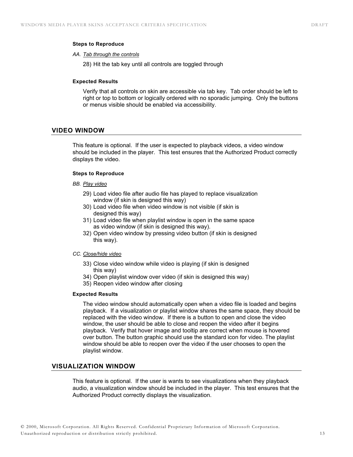#### **Steps to Reproduce**

#### *AA. Tab through the controls*

28) Hit the tab key until all controls are toggled through

#### **Expected Results**

Verify that all controls on skin are accessible via tab key. Tab order should be left to right or top to bottom or logically ordered with no sporadic jumping. Only the buttons or menus visible should be enabled via accessibility.

#### **VIDEO WINDOW**

This feature is optional. If the user is expected to playback videos, a video window should be included in the player. This test ensures that the Authorized Product correctly displays the video.

#### **Steps to Reproduce**

#### *BB. Play video*

- 29) Load video file after audio file has played to replace visualization window (if skin is designed this way)
- 30) Load video file when video window is not visible (if skin is designed this way)
- 31) Load video file when playlist window is open in the same space as video window (if skin is designed this way).
- 32) Open video window by pressing video button (if skin is designed this way).

#### *CC. Close/hide video*

- 33) Close video window while video is playing (if skin is designed this way)
- 34) Open playlist window over video (if skin is designed this way)
- 35) Reopen video window after closing

#### **Expected Results**

The video window should automatically open when a video file is loaded and begins playback. If a visualization or playlist window shares the same space, they should be replaced with the video window. If there is a button to open and close the video window, the user should be able to close and reopen the video after it begins playback. Verify that hover image and tooltip are correct when mouse is hovered over button. The button graphic should use the standard icon for video. The playlist window should be able to reopen over the video if the user chooses to open the playlist window.

## **VISUALIZATION WINDOW**

This feature is optional. If the user is wants to see visualizations when they playback audio, a visualization window should be included in the player. This test ensures that the Authorized Product correctly displays the visualization.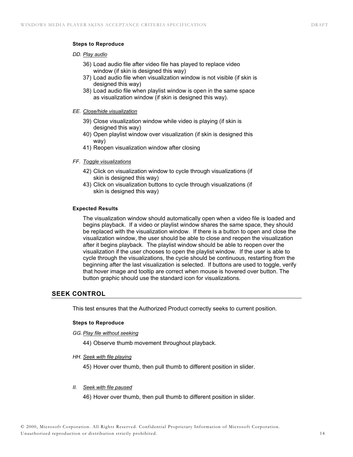#### **Steps to Reproduce**

#### *DD. Play audio*

- 36) Load audio file after video file has played to replace video window (if skin is designed this way)
- 37) Load audio file when visualization window is not visible (if skin is designed this way)
- 38) Load audio file when playlist window is open in the same space as visualization window (if skin is designed this way).

#### *EE. Close/hide visualization*

- 39) Close visualization window while video is playing (if skin is designed this way)
- 40) Open playlist window over visualization (if skin is designed this way)
- 41) Reopen visualization window after closing

#### *FF. Toggle visualizations*

- 42) Click on visualization window to cycle through visualizations (if skin is designed this way)
- 43) Click on visualization buttons to cycle through visualizations (if skin is designed this way)

#### **Expected Results**

The visualization window should automatically open when a video file is loaded and begins playback. If a video or playlist window shares the same space, they should be replaced with the visualization window. If there is a button to open and close the visualization window, the user should be able to close and reopen the visualization after it begins playback. The playlist window should be able to reopen over the visualization if the user chooses to open the playlist window. If the user is able to cycle through the visualizations, the cycle should be continuous, restarting from the beginning after the last visualization is selected. If buttons are used to toggle, verify that hover image and tooltip are correct when mouse is hovered over button. The button graphic should use the standard icon for visualizations.

## **SEEK CONTROL**

This test ensures that the Authorized Product correctly seeks to current position.

#### **Steps to Reproduce**

*GG. Play file without seeking*

44) Observe thumb movement throughout playback.

*HH. Seek with file playing*

45) Hover over thumb, then pull thumb to different position in slider.

*II. Seek with file paused*

46) Hover over thumb, then pull thumb to different position in slider.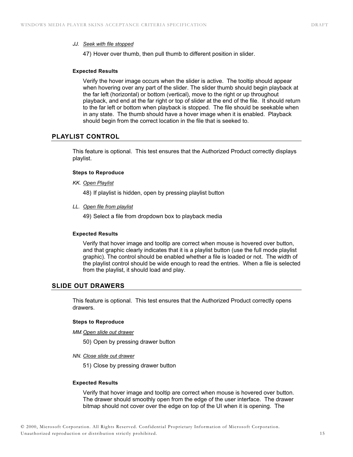#### *JJ. Seek with file stopped*

47) Hover over thumb, then pull thumb to different position in slider.

#### **Expected Results**

Verify the hover image occurs when the slider is active. The tooltip should appear when hovering over any part of the slider. The slider thumb should begin playback at the far left (horizontal) or bottom (vertical), move to the right or up throughout playback, and end at the far right or top of slider at the end of the file. It should return to the far left or bottom when playback is stopped. The file should be seekable when in any state. The thumb should have a hover image when it is enabled. Playback should begin from the correct location in the file that is seeked to.

## **PLAYLIST CONTROL**

This feature is optional. This test ensures that the Authorized Product correctly displays playlist.

#### **Steps to Reproduce**

*KK. Open Playlist* 

48) If playlist is hidden, open by pressing playlist button

*LL. Open file from playlist* 

49) Select a file from dropdown box to playback media

## **Expected Results**

Verify that hover image and tooltip are correct when mouse is hovered over button, and that graphic clearly indicates that it is a playlist button (use the full mode playlist graphic). The control should be enabled whether a file is loaded or not. The width of the playlist control should be wide enough to read the entries. When a file is selected from the playlist, it should load and play.

## **SLIDE OUT DRAWERS**

This feature is optional. This test ensures that the Authorized Product correctly opens drawers.

#### **Steps to Reproduce**

*MM. Open slide out drawer* 

50) Open by pressing drawer button

*NN. Close slide out drawer* 

51) Close by pressing drawer button

#### **Expected Results**

Verify that hover image and tooltip are correct when mouse is hovered over button. The drawer should smoothly open from the edge of the user interface. The drawer bitmap should not cover over the edge on top of the UI when it is opening. The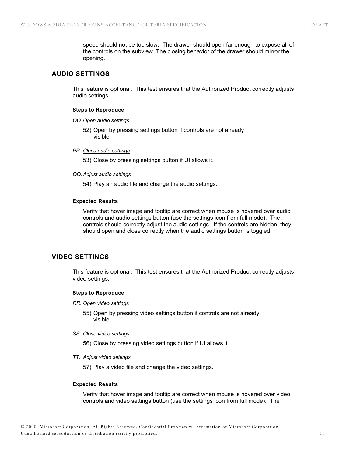speed should not be too slow. The drawer should open far enough to expose all of the controls on the subview. The closing behavior of the drawer should mirror the opening.

## **AUDIO SETTINGS**

This feature is optional. This test ensures that the Authorized Product correctly adjusts audio settings.

#### **Steps to Reproduce**

*OO. Open audio settings* 

52) Open by pressing settings button if controls are not already visible.

#### *PP. Close audio settings*

53) Close by pressing settings button if UI allows it.

#### *QQ. Adjust audio settings*

54) Play an audio file and change the audio settings.

#### **Expected Results**

Verify that hover image and tooltip are correct when mouse is hovered over audio controls and audio settings button (use the settings icon from full mode). The controls should correctly adjust the audio settings. If the controls are hidden, they should open and close correctly when the audio settings button is toggled.

## **VIDEO SETTINGS**

This feature is optional. This test ensures that the Authorized Product correctly adjusts video settings.

#### **Steps to Reproduce**

*RR. Open video settings* 

55) Open by pressing video settings button if controls are not already visible.

#### *SS. Close video settings*

56) Close by pressing video settings button if UI allows it.

*TT. Adjust video settings* 

57) Play a video file and change the video settings.

#### **Expected Results**

Verify that hover image and tooltip are correct when mouse is hovered over video controls and video settings button (use the settings icon from full mode). The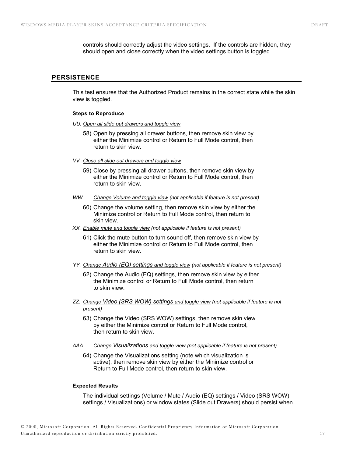controls should correctly adjust the video settings. If the controls are hidden, they should open and close correctly when the video settings button is toggled.

## **PERSISTENCE**

This test ensures that the Authorized Product remains in the correct state while the skin view is toggled.

#### **Steps to Reproduce**

- *UU. Open all slide out drawers and toggle view*
	- 58) Open by pressing all drawer buttons, then remove skin view by either the Minimize control or Return to Full Mode control, then return to skin view.
- *VV. Close all slide out drawers and toggle view*
	- 59) Close by pressing all drawer buttons, then remove skin view by either the Minimize control or Return to Full Mode control, then return to skin view.
- *WW. Change Volume and toggle view (not applicable if feature is not present)* 
	- 60) Change the volume setting, then remove skin view by either the Minimize control or Return to Full Mode control, then return to skin view.
- *XX. Enable mute and toggle view (not applicable if feature is not present)* 
	- 61) Click the mute button to turn sound off, then remove skin view by either the Minimize control or Return to Full Mode control, then return to skin view.
- *YY. Change Audio (EQ) settings and toggle view (not applicable if feature is not present)* 
	- 62) Change the Audio (EQ) settings, then remove skin view by either the Minimize control or Return to Full Mode control, then return to skin view.
- *ZZ. Change Video (SRS WOW) settings and toggle view (not applicable if feature is not present)* 
	- 63) Change the Video (SRS WOW) settings, then remove skin view by either the Minimize control or Return to Full Mode control, then return to skin view.
- *AAA. Change Visualizations and toggle view (not applicable if feature is not present)* 
	- 64) Change the Visualizations setting (note which visualization is active), then remove skin view by either the Minimize control or Return to Full Mode control, then return to skin view.

#### **Expected Results**

The individual settings (Volume / Mute / Audio (EQ) settings / Video (SRS WOW) settings / Visualizations) or window states (Slide out Drawers) should persist when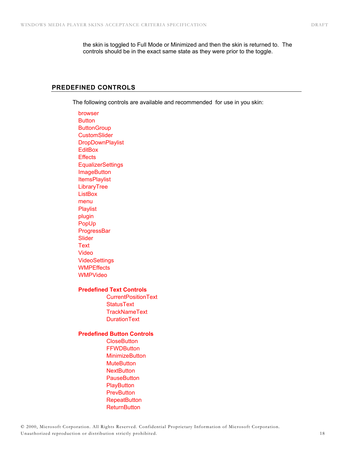the skin is toggled to Full Mode or Minimized and then the skin is returned to. The controls should be in the exact same state as they were prior to the toggle.

## **PREDEFINED CONTROLS**

The following controls are available and recommended for use in you skin:

browser **Button ButtonGroup CustomSlider DropDownPlaylist EditBox Effects EqualizerSettings ImageButton ItemsPlaylist LibraryTree ListBox** menu Playlist plugin PopUp **ProgressBar** Slider **Text** Video **VideoSettings WMPEffects** WMPVideo

## **Predefined Text Controls**

 CurrentPositionText **StatusText TrackNameText** DurationText

## **Predefined Button Controls**

**CloseButton FFWDButton MinimizeButton MuteButton NextButton PauseButton PlayButton PrevButton RepeatButton ReturnButton**